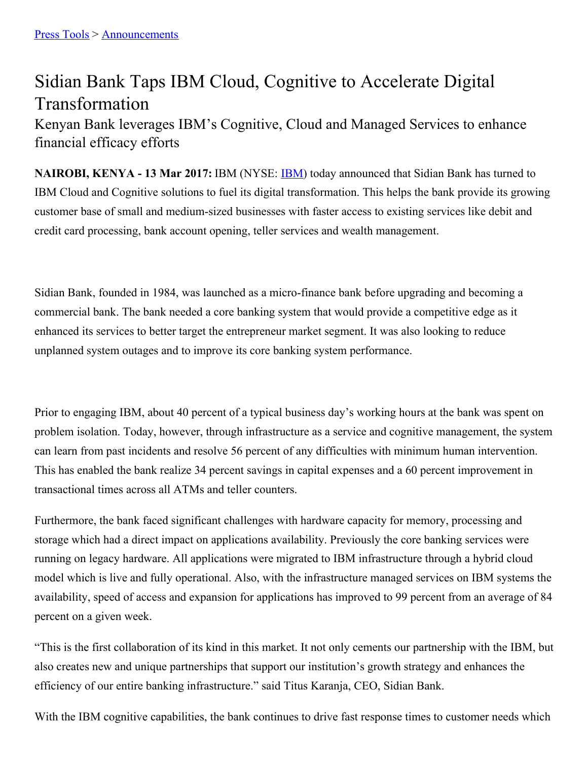## Sidian Bank Taps IBM Cloud, Cognitive to Accelerate Digital Transformation

Kenyan Bank leverages IBM's Cognitive, Cloud and Managed Services to enhance financial efficacy efforts

**NAIROBI, KENYA - 13 Mar 2017:** IBM (NYSE: [IBM](http://www.ibm.com/investor/)) today announced that Sidian Bank has turned to IBM Cloud and Cognitive solutions to fuel its digital transformation. This helps the bank provide its growing customer base of small and medium-sized businesses with faster access to existing services like debit and credit card processing, bank account opening, teller services and wealth management.

Sidian Bank, founded in 1984, was launched as a micro-finance bank before upgrading and becoming a commercial bank. The bank needed a core banking system that would provide a competitive edge as it enhanced its services to better target the entrepreneur market segment. It was also looking to reduce unplanned system outages and to improve its core banking system performance.

Prior to engaging IBM, about 40 percent of a typical business day's working hours at the bank was spent on problem isolation. Today, however, through infrastructure as a service and cognitive management, the system can learn from past incidents and resolve 56 percent of any difficulties with minimum human intervention. This has enabled the bank realize 34 percent savings in capital expenses and a 60 percent improvement in transactional times across all ATMs and teller counters.

Furthermore, the bank faced significant challenges with hardware capacity for memory, processing and storage which had a direct impact on applications availability. Previously the core banking services were running on legacy hardware. All applications were migrated to IBM infrastructure through a hybrid cloud model which is live and fully operational. Also, with the infrastructure managed services on IBM systems the availability, speed of access and expansion for applications has improved to 99 percent from an average of 84 percent on a given week.

"This is the first collaboration of its kind in this market. It not only cements our partnership with the IBM, but also creates new and unique partnerships that support our institution's growth strategy and enhances the efficiency of our entire banking infrastructure." said Titus Karanja, CEO, Sidian Bank.

With the IBM cognitive capabilities, the bank continues to drive fast response times to customer needs which